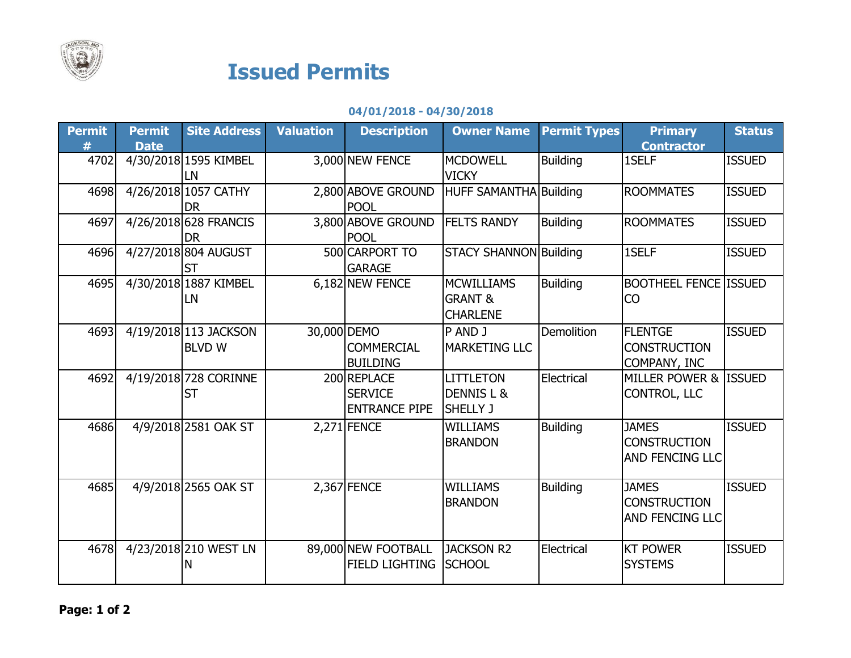

## Issued Permits

## 04/01/2018 - 04/30/2018

| <b>Permit</b> | <b>Permit</b> | <b>Site Address</b>                    | <b>Valuation</b> | <b>Description</b>                                    | <b>Owner Name</b>                                          | <b>Permit Types</b> | <b>Primary</b>                                                | <b>Status</b> |
|---------------|---------------|----------------------------------------|------------------|-------------------------------------------------------|------------------------------------------------------------|---------------------|---------------------------------------------------------------|---------------|
| #             | <b>Date</b>   |                                        |                  |                                                       |                                                            |                     | <b>Contractor</b>                                             |               |
| 4702          |               | 4/30/2018 1595 KIMBEL<br><b>LN</b>     |                  | 3,000 NEW FENCE                                       | <b>MCDOWELL</b><br><b>VICKY</b>                            | <b>Building</b>     | 1SELF                                                         | <b>ISSUED</b> |
| 4698          |               | 4/26/2018 1057 CATHY<br><b>DR</b>      |                  | 2,800 ABOVE GROUND<br><b>POOL</b>                     | HUFF SAMANTHA Building                                     |                     | <b>ROOMMATES</b>                                              | <b>ISSUED</b> |
| 4697          |               | 4/26/2018 628 FRANCIS<br><b>DR</b>     |                  | 3,800 ABOVE GROUND<br><b>POOL</b>                     | <b>FELTS RANDY</b>                                         | <b>Building</b>     | <b>ROOMMATES</b>                                              | <b>ISSUED</b> |
| 4696          |               | 4/27/2018 804 AUGUST<br><b>ST</b>      |                  | 500 CARPORT TO<br><b>GARAGE</b>                       | <b>STACY SHANNON Building</b>                              |                     | 1SELF                                                         | <b>ISSUED</b> |
| 4695          |               | 4/30/2018 1887 KIMBEL<br>LN            |                  | 6,182 NEW FENCE                                       | <b>MCWILLIAMS</b><br><b>GRANT &amp;</b><br><b>CHARLENE</b> | <b>Building</b>     | <b>BOOTHEEL FENCE ISSUED</b><br><b>CO</b>                     |               |
| 4693          |               | 4/19/2018 113 JACKSON<br><b>BLVD W</b> | 30,000 DEMO      | <b>COMMERCIAL</b><br><b>BUILDING</b>                  | P AND J<br><b>MARKETING LLC</b>                            | <b>Demolition</b>   | <b>FLENTGE</b><br><b>CONSTRUCTION</b><br>COMPANY, INC         | <b>ISSUED</b> |
| 4692          |               | 4/19/2018 728 CORINNE<br><b>ST</b>     |                  | 200 REPLACE<br><b>SERVICE</b><br><b>ENTRANCE PIPE</b> | <b>LITTLETON</b><br>DENNIS L &<br><b>SHELLY J</b>          | Electrical          | MILLER POWER & ISSUED<br><b>CONTROL, LLC</b>                  |               |
| 4686          |               | 4/9/2018 2581 OAK ST                   |                  | $2,271$ FENCE                                         | <b>WILLIAMS</b><br><b>BRANDON</b>                          | <b>Building</b>     | <b>JAMES</b><br><b>CONSTRUCTION</b><br><b>AND FENCING LLC</b> | <b>ISSUED</b> |
| 4685          |               | 4/9/2018 2565 OAK ST                   |                  | $2,367$ FENCE                                         | <b>WILLIAMS</b><br><b>BRANDON</b>                          | <b>Building</b>     | <b>JAMES</b><br><b>CONSTRUCTION</b><br><b>AND FENCING LLC</b> | <b>ISSUED</b> |
| 4678          |               | 4/23/2018 210 WEST LN<br>N             |                  | 89,000 NEW FOOTBALL<br><b>FIELD LIGHTING</b>          | JACKSON R2<br><b>SCHOOL</b>                                | Electrical          | <b>KT POWER</b><br><b>SYSTEMS</b>                             | <b>ISSUED</b> |